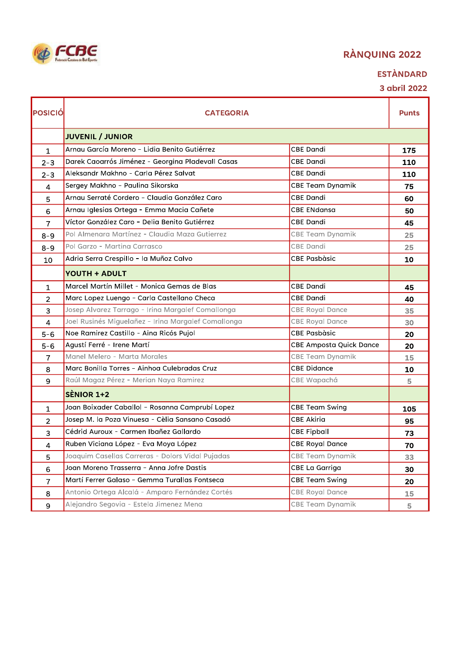

## **ESTÀNDARD**

| <b>POSICIÓ</b> | <b>CATEGORIA</b>                                    |                         | <b>Punts</b> |
|----------------|-----------------------------------------------------|-------------------------|--------------|
|                | <b>JUVENIL / JUNIOR</b>                             |                         |              |
| $\mathbf{1}$   | Arnau García Moreno - Lidia Benito Gutiérrez        | <b>CBE Dandi</b>        | 175          |
| $2 - 3$        | Darek Caoarrós Jiménez - Georgina Pladevall Casas   | <b>CBE Dandi</b>        | 110          |
| $2 - 3$        | Aleksandr Makhno - Carla Pérez Salvat               | <b>CBE Dandi</b>        | 110          |
| 4              | Sergey Makhno - Paulina Sikorska                    | <b>CBE Team Dynamik</b> | 75           |
| 5              | Arnau Serraté Cordero - Claudia González Caro       | <b>CBE Dandi</b>        | 60           |
| 6              | Arnau Iglesias Ortega - Emma Macia Cañete           | <b>CBE ENdansa</b>      | 50           |
| $\overline{7}$ | Víctor González Caro - Delia Benito Gutiérrez       | CBE Dandi               | 45           |
| $8 - 9$        | Pol Almenara Martínez - Claudia Maza Gutierrez      | <b>CBE Team Dynamik</b> | 25           |
| $8 - 9$        | Pol Garzo - Martina Carrasco                        | CBE Dandi               | 25           |
| 10             | Adria Serra Crespillo - la Muñoz Calvo              | <b>CBE Pasbàsic</b>     | 10           |
|                | <b>YOUTH + ADULT</b>                                |                         |              |
| $\mathbf{1}$   | Marcel Martín Millet - Monica Gemas de Blas         | CBE Dandi               | 45           |
| $\overline{2}$ | Marc Lopez Luengo - Carla Castellano Checa          | <b>CBE Dandi</b>        | 40           |
| 3              | Josep Alvarez Tarrago - Irina Margalef Comallonga   | <b>CBE Royal Dance</b>  | 35           |
| $\overline{4}$ | Joel Rusinés Miguelañez - Irina Margalef Comallonga | <b>CBE Royal Dance</b>  | 30           |
| $5 - 6$        | Noe Ramirez Castillo - Aina Ricós Pujol             | <b>CBE Pasbàsic</b>     | 20           |
| $5 - 6$        | Agustí Ferré - Irene Martí                          | CBE Amposta Quick Dance | 20           |
| $\overline{7}$ | Manel Melero - Marta Morales                        | CBE Team Dynamik        | 15           |
| 8              | Marc Bonilla Torres - Ainhoa Culebradas Cruz        | <b>CBE Didance</b>      | 10           |
| 9              | Raúl Magaz Pérez - Merian Naya Ramirez              | CBE Wapachá             | 5            |
|                | SÈNIOR 1+2                                          |                         |              |
| $\mathbf{1}$   | Joan Boixader Caballol - Rosanna Camprubí Lopez     | <b>CBE Team Swing</b>   | 105          |
| $\overline{2}$ | Josep M. la Poza Vinuesa - Cèlia Sansano Casadó     | <b>CBE Akiria</b>       | 95           |
| 3              | Cédrid Auroux - Carmen Ibañez Gallardo              | <b>CBE Fipball</b>      | 73           |
| 4              | Ruben Viciana López - Eva Moya López                | <b>CBE Royal Dance</b>  | 70           |
| 5              | Joaquim Casellas Carreras - Dolors Vidal Pujadas    | <b>CBE Team Dynamik</b> | 33           |
| 6              | Joan Moreno Trasserra - Anna Jofre Dastis           | CBE La Garriga          | 30           |
| $\overline{7}$ | Martí Ferrer Galaso - Gemma Turallas Fontseca       | <b>CBE Team Swing</b>   | 20           |
| 8              | Antonio Ortega Alcalá - Amparo Fernández Cortés     | <b>CBE Royal Dance</b>  | 15           |
| 9              | Alejandro Segovia - Estela Jimenez Mena             | CBE Team Dynamik        | 5            |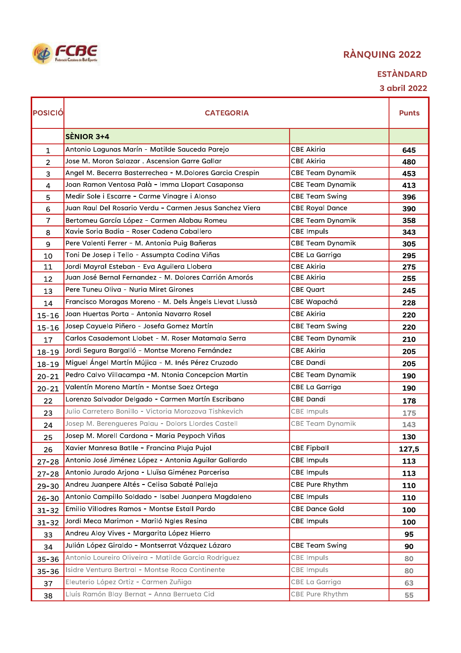| FCBE                               |
|------------------------------------|
| Federació Catalana de Ball Eportiu |

## **ESTÀNDARD**

| POSICIÓ        | <b>CATEGORIA</b>                                         |                         | <b>Punts</b> |
|----------------|----------------------------------------------------------|-------------------------|--------------|
|                | <b>SENIOR 3+4</b>                                        |                         |              |
| $\mathbf{1}$   | Antonio Lagunas Marín - Matilde Sauceda Parejo           | <b>CBE Akiria</b>       | 645          |
| $\overline{2}$ | Jose M. Moron Salazar . Ascension Garre Gallar           | <b>CBE Akiria</b>       | 480          |
| 3              | Angel M. Becerra Basterrechea - M.Dolores Garcia Crespin | <b>CBE Team Dynamik</b> | 453          |
| 4              | Joan Ramon Ventosa Palà - Imma Llopart Casaponsa         | <b>CBE Team Dynamik</b> | 413          |
| 5              | Medir Sole i Escarre - Carme Vinagre i Alonso            | <b>CBE Team Swing</b>   | 396          |
| 6              | Juan Raul Del Rosario Verdu - Carmen Jesus Sanchez Viera | <b>CBE Royal Dance</b>  | 390          |
| 7              | Bertomeu García López - Carmen Alabau Romeu              | <b>CBE Team Dynamik</b> | 358          |
| 8              | Xavie Soria Badia - Roser Cadena Caballero               | <b>CBE Impuls</b>       | 343          |
| 9              | Pere Valenti Ferrer - M. Antonia Puig Bañeras            | CBE Team Dynamik        | 305          |
| 10             | Toni De Josep i Tello - Assumpta Codina Viñas            | CBE La Garriga          | 295          |
| 11             | Jordi Mayral Esteban - Eva Aguilera Llobera              | <b>CBE Akiria</b>       | 275          |
| 12             | Juan José Bernal Fernandez - M. Dolores Carrión Amorós   | <b>CBE Akiria</b>       | 255          |
| 13             | Pere Tuneu Oliva - Nuria Miret Girones                   | <b>CBE Quart</b>        | 245          |
| 14             | Francisco Moragas Moreno - M. Dels Àngels Llevat Llussà  | CBE Wapachá             | 228          |
| $15 - 16$      | Joan Huertas Porta - Antonia Navarro Rosel               | <b>CBE Akiria</b>       | 220          |
| $15 - 16$      | Josep Cayuela Piñero - Josefa Gomez Martín               | <b>CBE Team Swing</b>   | 220          |
| 17             | Carlos Casademont Llobet - M. Roser Matamala Serra       | <b>CBE Team Dynamik</b> | 210          |
| $18 - 19$      | Jordi Segura Bargalló - Montse Moreno Fernández          | <b>CBE Akiria</b>       | 205          |
| $18 - 19$      | Miguel Ángel Martín Mújica - M. Inés Pérez Cruzado       | <b>CBE Dandi</b>        | 205          |
| $20 - 21$      | Pedro Calvo Villacampa -M. Ntonia Concepcion Martin      | CBE Team Dynamik        | 190          |
| $20 - 21$      | Valentín Moreno Martín - Montse Saez Ortega              | CBE La Garriga          | 190          |
| 22             | Lorenzo Salvador Delgado - Carmen Martín Escribano       | <b>CBE Dandi</b>        | 178          |
| 23             | Julio Carretero Bonillo - Victoria Morozova Tishkevich   | <b>CBE Impuls</b>       | 175          |
| 24             | Josep M. Berengueres Palau - Dolors Llordes Castell      | <b>CBE Team Dynamik</b> | 143          |
| 25             | Josep M. Morell Cardona - Maria Peypoch Viñas            |                         | 130          |
| 26             | Xavier Manresa Batlle - Francina Pluja Pujol             | <b>CBE Fipball</b>      | 127,5        |
| $27 - 28$      | Antonio José Jiménez López - Antonia Aguilar Gallardo    | <b>CBE Impuls</b>       | 113          |
| $27 - 28$      | Antonio Jurado Arjona - Lluïsa Giménez Parcerisa         | <b>CBE Impuls</b>       | 113          |
| $29 - 30$      | Andreu Juanpere Altés - Celisa Sabaté Palleja            | CBE Pure Rhythm         | 110          |
| $26 - 30$      | Antonio Campillo Soldado - Isabel Juanpera Magdaleno     | <b>CBE Impuls</b>       | 110          |
| $31 - 32$      | Emilio Villodres Ramos - Montse Estall Pardo             | <b>CBE Dance Gold</b>   | 100          |
| $31 - 32$      | Jordi Meca Marimon - Mariló Ngles Resina                 | <b>CBE Impuls</b>       | 100          |
| 33             | Andreu Aloy Vives - Margarita López Hierro               |                         | 95           |
| 34             | Julián López Giraldo - Montserrat Vázquez Lázaro         | <b>CBE Team Swing</b>   | 90           |
| $35 - 36$      | Antonio Loureiro Oliveira - Matilde Garcia Rodriguez     | <b>CBE Impuls</b>       | 80           |
| $35 - 36$      | Isidre Ventura Bertral - Montse Roca Continente          | CBE Impuls              | 80           |
| 37             | Eleuterio López Ortiz - Carmen Zuñiga                    | CBE La Garriga          | 63           |
| 38             | Lluís Ramón Blay Bernat - Anna Berrueta Cid              | CBE Pure Rhythm         | 55           |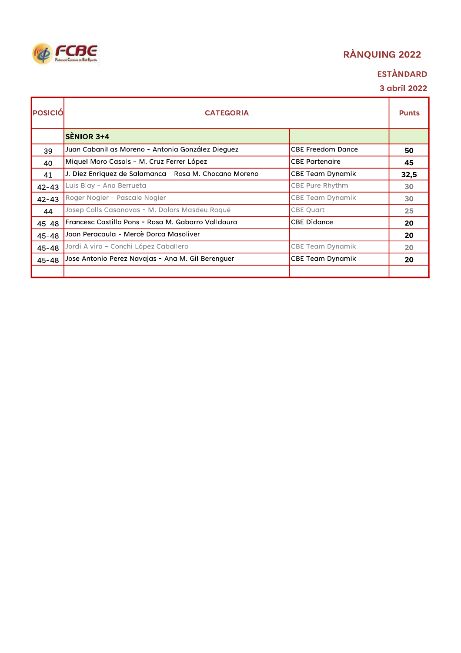# **EGGE**

## RÀNQUING 2022

## **ESTÀNDARD**

| <b>IPOSICIÓ</b> | <b>CATEGORIA</b>                                       |                          | <b>Punts</b> |
|-----------------|--------------------------------------------------------|--------------------------|--------------|
|                 | <b>SENIOR 3+4</b>                                      |                          |              |
| 39              | Juan Cabanillas Moreno - Antonia González Dieguez      | <b>CBE Freedom Dance</b> | 50           |
| 40              | Miquel Moro Casals - M. Cruz Ferrer López              | <b>CBE Partenaire</b>    | 45           |
| 41              | J. Diez Enriquez de Salamanca - Rosa M. Chocano Moreno | CBE Team Dynamik         | 32,5         |
| $42 - 43$       | Luis Blay - Ana Berrueta                               | CBE Pure Rhythm          | 30           |
| $42 - 43$       | Roger Nogier - Pascale Nogier                          | CBE Team Dynamik         | 30           |
| 44              | Josep Colls Casanovas - M. Dolors Masdeu Roqué         | <b>CBE Quart</b>         | 25           |
| $45 - 48$       | Francesc Castillo Pons - Rosa M. Gabarro Valldaura     | <b>CBE Didance</b>       | 20           |
| $45 - 48$       | Joan Peracaula - Mercè Dorca Masoliver                 |                          | 20           |
| $45 - 48$       | Jordi Alvira - Conchi López Caballero                  | CBE Team Dynamik         | 20           |
| $45 - 48$       | Jose Antonio Perez Navajas - Ana M. Gil Berenguer      | CBE Team Dynamik         | 20           |
|                 |                                                        |                          |              |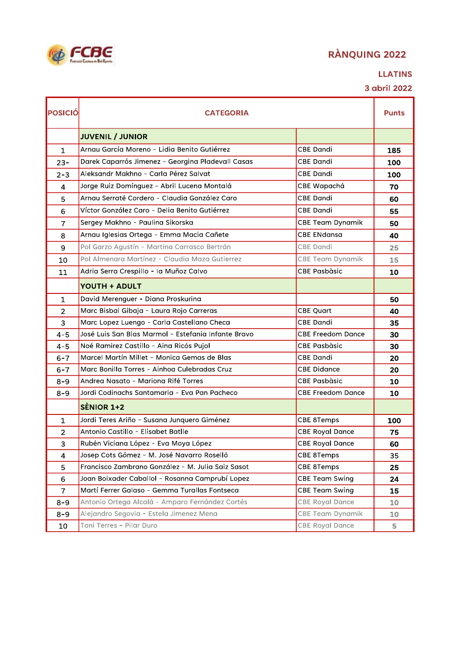

#### **LLATINS**

| POSICIÓ        | <b>CATEGORIA</b>                                    |                          | <b>Punts</b>    |
|----------------|-----------------------------------------------------|--------------------------|-----------------|
|                | <b>JUVENIL / JUNIOR</b>                             |                          |                 |
| $\mathbf{1}$   | Arnau García Moreno - Lidia Benito Gutiérrez        | <b>CBE Dandi</b>         | 185             |
| $23 -$         | Darek Caparrós Jimenez - Georgina Pladevall Casas   | CBE Dandi                | 100             |
| $2 - 3$        | Aleksandr Makhno - Carla Pérez Salvat               | <b>CBE Dandi</b>         | 100             |
| 4              | Jorge Ruiz Domínguez - Abril Lucena Montalá         | CBE Wapachá              | 70              |
| 5              | Arnau Serraté Cordero - Claudia González Caro       | <b>CBE Dandi</b>         | 60              |
| 6              | Víctor González Caro - Delia Benito Gutiérrez       | <b>CBE Dandi</b>         | 55              |
| $\overline{7}$ | Sergey Makhno - Paulina Sikorska                    | CBE Team Dynamik         | 50              |
| 8              | Arnau Iglesias Ortega - Emma Macia Cañete           | <b>CBE ENdansa</b>       | 40              |
| $\mathsf 9$    | Pol Garzo Agustín - Martina Carrasco Bertrán        | <b>CBE Dandi</b>         | 25              |
| 10             | Pol Almenara Martínez - Claudia Maza Gutierrez      | <b>CBE Team Dynamik</b>  | 15              |
| 11             | Adria Serra Crespillo - la Muñoz Calvo              | <b>CBE Pasbàsic</b>      | 10              |
|                | <b>YOUTH + ADULT</b>                                |                          |                 |
| $\mathbf{1}$   | David Merenguer - Diana Proskurina                  |                          | 50              |
| $\overline{2}$ | Marc Bisbal Gibaja - Laura Rojo Carreras            | <b>CBE Quart</b>         | 40              |
| 3              | Marc Lopez Luengo - Carla Castellano Checa          | <b>CBE Dandi</b>         | 35              |
| $4 - 5$        | José Luis San Blas Marmol - Estefania Infante Bravo | <b>CBE Freedom Dance</b> | 30              |
| $4 - 5$        | Noé Ramirez Castillo - Aina Ricós Pujol             | <b>CBE Pasbàsic</b>      | 30              |
| $6 - 7$        | Marcel Martín Millet - Monica Gemas de Blas         | <b>CBE Dandi</b>         | 20              |
| $6 - 7$        | Marc Bonilla Torres - Ainhoa Culebradas Cruz        | <b>CBE Didance</b>       | 20              |
| $8 - 9$        | Andrea Nasato - Mariona Rifé Torres                 | <b>CBE Pasbàsic</b>      | 10              |
| $8 - 9$        | Jordi Codinachs Santamaria - Eva Pan Pacheco        | <b>CBE Freedom Dance</b> | 10              |
|                | <b>SÈNIOR 1+2</b>                                   |                          |                 |
| 1              | Jordi Teres Ariño - Susana Junquero Giménez         | CBE 8Temps               | 100             |
| $\overline{2}$ | Antonio Castillo - Elisabet Batlle                  | <b>CBE Royal Dance</b>   | 75              |
| 3              | Rubén Viciana López - Eva Moya López                | <b>CBE Royal Dance</b>   | 60              |
| 4              | Josep Cots Gómez - M. José Navarro Roselló          | CBE 8Temps               | 35              |
| 5              | Francisco Zambrano González - M. Julia Saiz Sasot   | CBE 8Temps               | 25              |
| 6              | Joan Boixader Caballol - Rosanna Camprubí Lopez     | <b>CBE Team Swing</b>    | 24              |
| $\overline{7}$ | Martí Ferrer Galaso - Gemma Turallas Fontseca       | CBE Team Swing           | 15              |
| $8 - 9$        | Antonio Ortega Alcalá - Amparo Fernández Cortés     | <b>CBE Royal Dance</b>   | 10 <sup>°</sup> |
| $8 - 9$        | Alejandro Segovia - Estela Jimenez Mena             | <b>CBE Team Dynamik</b>  | 10              |
| 10             | Toni Terres - Pilar Duro                            | <b>CBE Royal Dance</b>   | 5               |